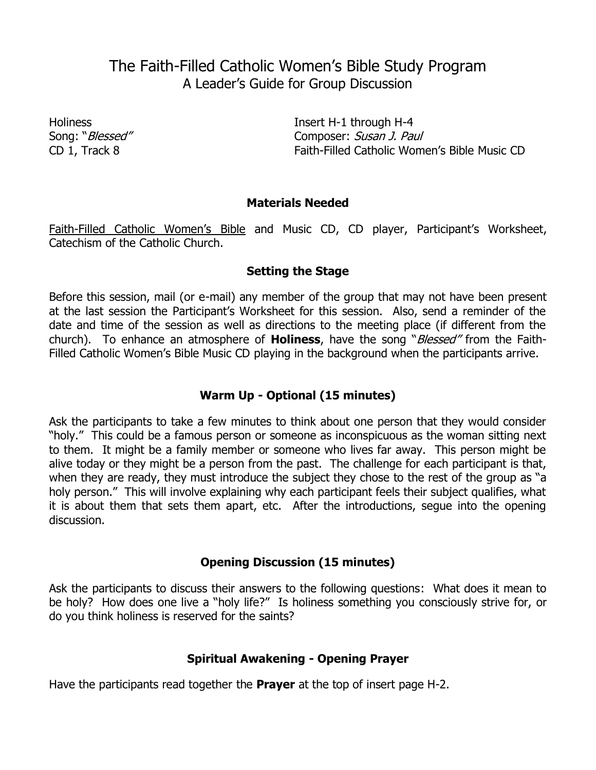# The Faith-Filled Catholic Women's Bible Study Program A Leader's Guide for Group Discussion

Holiness Insert H-1 through H-4 Song: "*Blessed"* Composer: Susan J. Paul CD 1, Track 8 Faith-Filled Catholic Women's Bible Music CD

## **Materials Needed**

Faith-Filled Catholic Women's Bible and Music CD, CD player, Participant's Worksheet, Catechism of the Catholic Church.

## **Setting the Stage**

Before this session, mail (or e-mail) any member of the group that may not have been present at the last session the Participant's Worksheet for this session. Also, send a reminder of the date and time of the session as well as directions to the meeting place (if different from the church). To enhance an atmosphere of **Holiness**, have the song "Blessed" from the Faith-Filled Catholic Women's Bible Music CD playing in the background when the participants arrive.

# **Warm Up - Optional (15 minutes)**

Ask the participants to take a few minutes to think about one person that they would consider "holy." This could be a famous person or someone as inconspicuous as the woman sitting next to them. It might be a family member or someone who lives far away. This person might be alive today or they might be a person from the past. The challenge for each participant is that, when they are ready, they must introduce the subject they chose to the rest of the group as "a holy person." This will involve explaining why each participant feels their subject qualifies, what it is about them that sets them apart, etc. After the introductions, segue into the opening discussion.

# **Opening Discussion (15 minutes)**

Ask the participants to discuss their answers to the following questions: What does it mean to be holy? How does one live a "holy life?" Is holiness something you consciously strive for, or do you think holiness is reserved for the saints?

# **Spiritual Awakening - Opening Prayer**

Have the participants read together the **Prayer** at the top of insert page H-2.